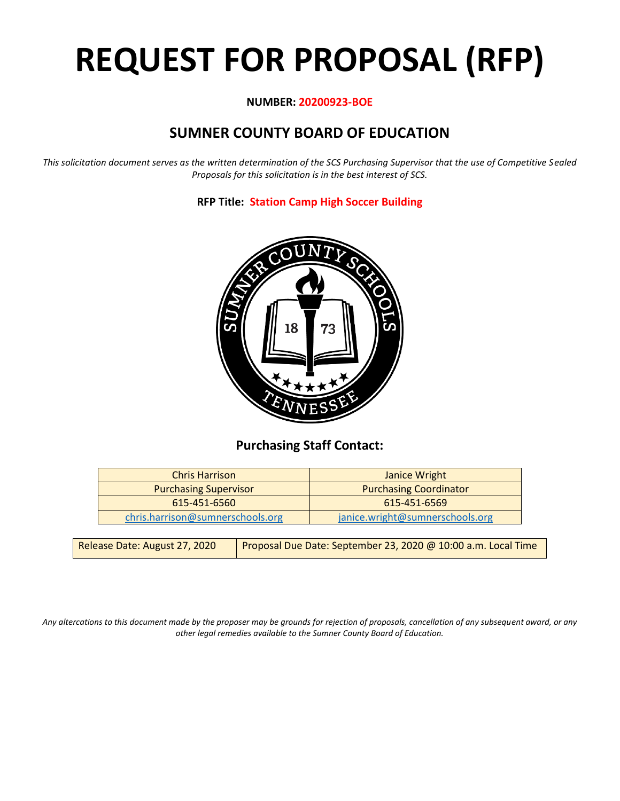# **REQUEST FOR PROPOSAL (RFP)**

#### **NUMBER: 20200923-BOE**

## **SUMNER COUNTY BOARD OF EDUCATION**

*This solicitation document serves as the written determination of the SCS Purchasing Supervisor that the use of Competitive Sealed Proposals for this solicitation is in the best interest of SCS.*

**RFP Title: Station Camp High Soccer Building**



## **Purchasing Staff Contact:**

| <b>Chris Harrison</b>            | Janice Wright                   |  |
|----------------------------------|---------------------------------|--|
| <b>Purchasing Supervisor</b>     | <b>Purchasing Coordinator</b>   |  |
| 615-451-6560                     | 615-451-6569                    |  |
| chris.harrison@sumnerschools.org | janice.wright@sumnerschools.org |  |

| Release Date: August 27, 2020 | Proposal Due Date: September 23, 2020 @ 10:00 a.m. Local Time |
|-------------------------------|---------------------------------------------------------------|
|-------------------------------|---------------------------------------------------------------|

*Any altercations to this document made by the proposer may be grounds for rejection of proposals, cancellation of any subsequent award, or any other legal remedies available to the Sumner County Board of Education.*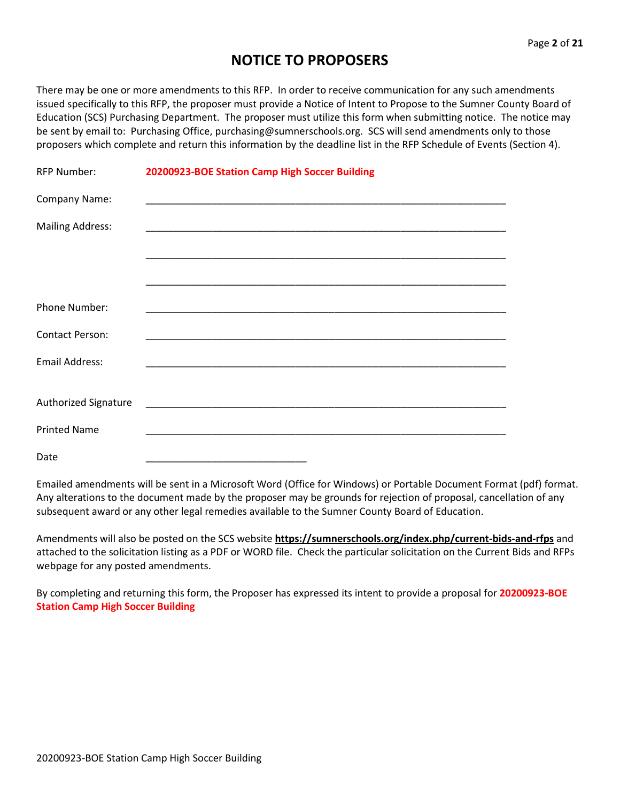## **NOTICE TO PROPOSERS**

There may be one or more amendments to this RFP. In order to receive communication for any such amendments issued specifically to this RFP, the proposer must provide a Notice of Intent to Propose to the Sumner County Board of Education (SCS) Purchasing Department. The proposer must utilize this form when submitting notice. The notice may be sent by email to: Purchasing Office, purchasing@sumnerschools.org. SCS will send amendments only to those proposers which complete and return this information by the deadline list in the RFP Schedule of Events (Section 4).

| <b>RFP Number:</b>      | 20200923-BOE Station Camp High Soccer Building |
|-------------------------|------------------------------------------------|
| Company Name:           |                                                |
| <b>Mailing Address:</b> |                                                |
|                         |                                                |
|                         |                                                |
| <b>Phone Number:</b>    |                                                |
| <b>Contact Person:</b>  |                                                |
| <b>Email Address:</b>   |                                                |
| Authorized Signature    |                                                |
| <b>Printed Name</b>     |                                                |
| Date                    |                                                |

Emailed amendments will be sent in a Microsoft Word (Office for Windows) or Portable Document Format (pdf) format. Any alterations to the document made by the proposer may be grounds for rejection of proposal, cancellation of any subsequent award or any other legal remedies available to the Sumner County Board of Education.

Amendments will also be posted on the SCS website **https://sumnerschools.org/index.php/current-bids-and-rfps** and attached to the solicitation listing as a PDF or WORD file. Check the particular solicitation on the Current Bids and RFPs webpage for any posted amendments.

By completing and returning this form, the Proposer has expressed its intent to provide a proposal for **20200923-BOE Station Camp High Soccer Building**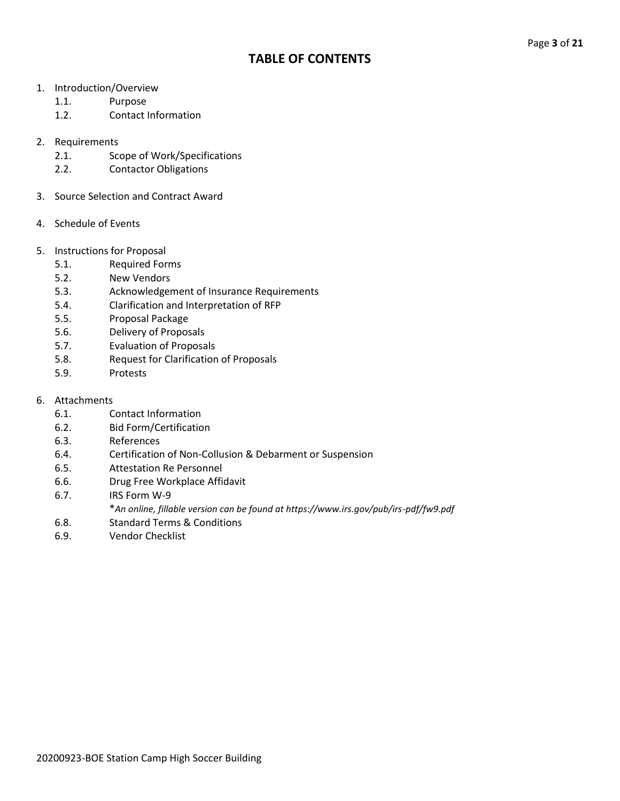### **TABLE OF CONTENTS**

- 1. Introduction/Overview
	- 1.1. Purpose
	- 1.2. Contact Information
- 2. Requirements
	- 2.1. Scope of Work/Specifications
	- 2.2. Contactor Obligations
- 3. Source Selection and Contract Award
- 4. Schedule of Events
- 5. Instructions for Proposal
	- 5.1. Required Forms
	- 5.2. New Vendors
	- 5.3. Acknowledgement of Insurance Requirements
	- 5.4. Clarification and Interpretation of RFP
	- 5.5. Proposal Package
	- 5.6. Delivery of Proposals
	- 5.7. Evaluation of Proposals
	- 5.8. Request for Clarification of Proposals
	- 5.9. Protests
- 6. Attachments
	- 6.1. Contact Information
	- 6.2. Bid Form/Certification
	- 6.3. References
	- 6.4. Certification of Non-Collusion & Debarment or Suspension
	- 6.5. Attestation Re Personnel
	- 6.6. Drug Free Workplace Affidavit
	- 6.7. IRS Form W-9
		- \**An online, fillable version can be found at https://www.irs.gov/pub/irs-pdf/fw9.pdf*
	- 6.8. Standard Terms & Conditions
	- 6.9. Vendor Checklist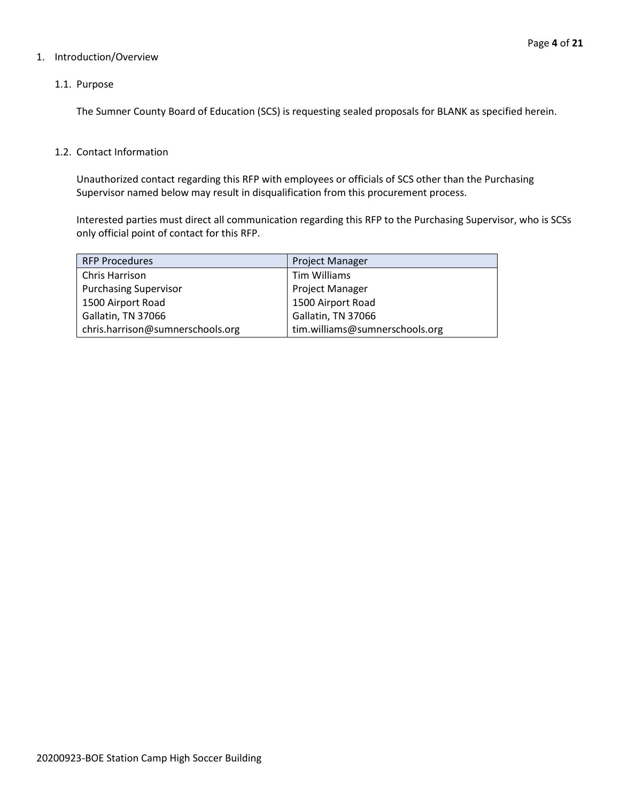#### 1. Introduction/Overview

#### 1.1. Purpose

The Sumner County Board of Education (SCS) is requesting sealed proposals for BLANK as specified herein.

#### 1.2. Contact Information

Unauthorized contact regarding this RFP with employees or officials of SCS other than the Purchasing Supervisor named below may result in disqualification from this procurement process.

Interested parties must direct all communication regarding this RFP to the Purchasing Supervisor, who is SCSs only official point of contact for this RFP.

| <b>RFP Procedures</b>            | <b>Project Manager</b>         |
|----------------------------------|--------------------------------|
| Chris Harrison                   | Tim Williams                   |
| <b>Purchasing Supervisor</b>     | <b>Project Manager</b>         |
| 1500 Airport Road                | 1500 Airport Road              |
| Gallatin, TN 37066               | Gallatin, TN 37066             |
| chris.harrison@sumnerschools.org | tim.williams@sumnerschools.org |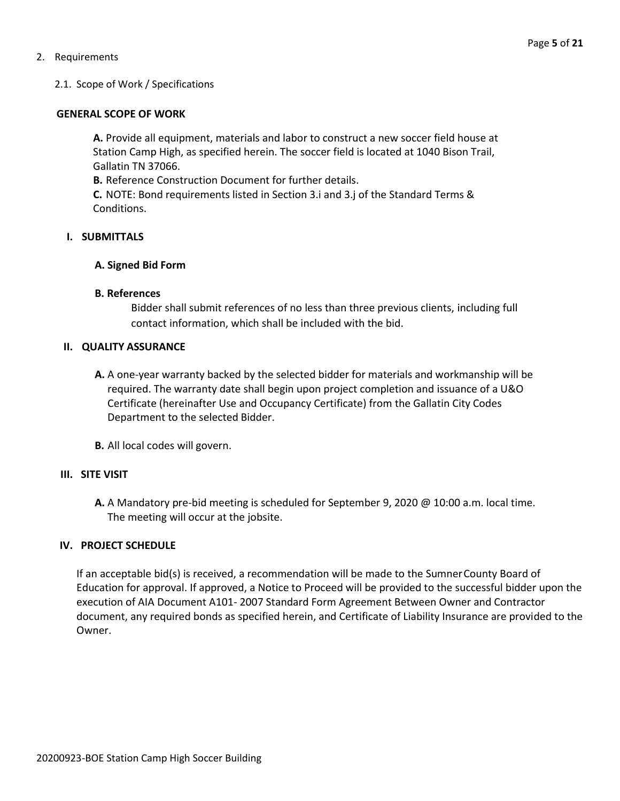#### 2. Requirements

#### 2.1. Scope of Work / Specifications

#### **GENERAL SCOPE OF WORK**

**A.** Provide all equipment, materials and labor to construct a new soccer field house at Station Camp High, as specified herein. The soccer field is located at 1040 Bison Trail, Gallatin TN 37066.

**B.** Reference Construction Document for further details.

**C.** NOTE: Bond requirements listed in Section 3.i and 3.j of the Standard Terms & Conditions.

#### **I. SUBMITTALS**

#### **A. Signed Bid Form**

#### **B. References**

Bidder shall submit references of no less than three previous clients, including full contact information, which shall be included with the bid.

#### **II. QUALITY ASSURANCE**

- **A.** A one-year warranty backed by the selected bidder for materials and workmanship will be required. The warranty date shall begin upon project completion and issuance of a U&O Certificate (hereinafter Use and Occupancy Certificate) from the Gallatin City Codes Department to the selected Bidder.
- **B.** All local codes will govern.

#### **III. SITE VISIT**

**A.** A Mandatory pre-bid meeting is scheduled for September 9, 2020 @ 10:00 a.m. local time. The meeting will occur at the jobsite.

#### **IV. PROJECT SCHEDULE**

If an acceptable bid(s) is received, a recommendation will be made to the SumnerCounty Board of Education for approval. If approved, a Notice to Proceed will be provided to the successful bidder upon the execution of AIA Document A101- 2007 Standard Form Agreement Between Owner and Contractor document, any required bonds as specified herein, and Certificate of Liability Insurance are provided to the Owner.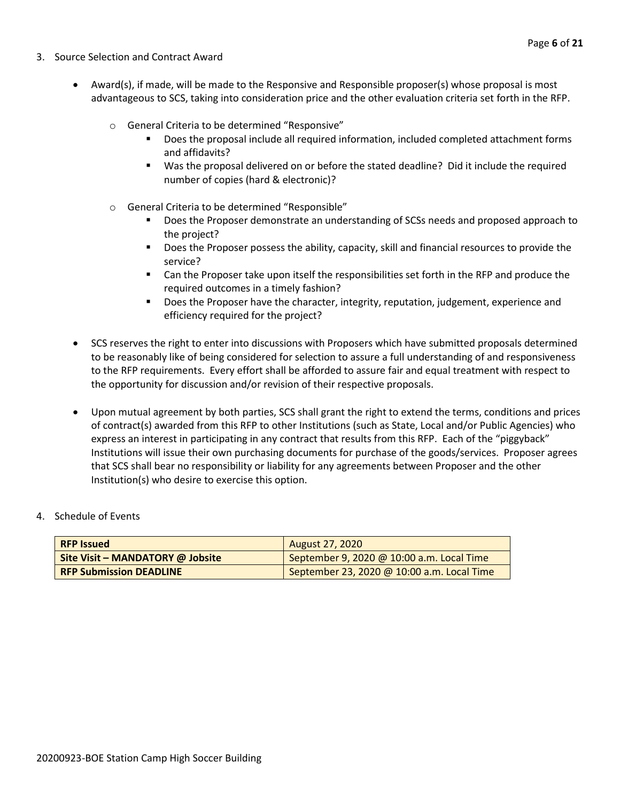- 3. Source Selection and Contract Award
	- Award(s), if made, will be made to the Responsive and Responsible proposer(s) whose proposal is most advantageous to SCS, taking into consideration price and the other evaluation criteria set forth in the RFP.
		- o General Criteria to be determined "Responsive"
			- Does the proposal include all required information, included completed attachment forms and affidavits?
			- Was the proposal delivered on or before the stated deadline? Did it include the required number of copies (hard & electronic)?
		- o General Criteria to be determined "Responsible"
			- Does the Proposer demonstrate an understanding of SCSs needs and proposed approach to the project?
			- Does the Proposer possess the ability, capacity, skill and financial resources to provide the service?
			- Can the Proposer take upon itself the responsibilities set forth in the RFP and produce the required outcomes in a timely fashion?
			- **■** Does the Proposer have the character, integrity, reputation, judgement, experience and efficiency required for the project?
	- SCS reserves the right to enter into discussions with Proposers which have submitted proposals determined to be reasonably like of being considered for selection to assure a full understanding of and responsiveness to the RFP requirements. Every effort shall be afforded to assure fair and equal treatment with respect to the opportunity for discussion and/or revision of their respective proposals.
	- Upon mutual agreement by both parties, SCS shall grant the right to extend the terms, conditions and prices of contract(s) awarded from this RFP to other Institutions (such as State, Local and/or Public Agencies) who express an interest in participating in any contract that results from this RFP. Each of the "piggyback" Institutions will issue their own purchasing documents for purchase of the goods/services. Proposer agrees that SCS shall bear no responsibility or liability for any agreements between Proposer and the other Institution(s) who desire to exercise this option.
- 4. Schedule of Events

| <b>RFP Issued</b>                | <b>August 27, 2020</b>                     |
|----------------------------------|--------------------------------------------|
| Site Visit – MANDATORY @ Jobsite | September 9, 2020 @ 10:00 a.m. Local Time  |
| <b>RFP Submission DEADLINE</b>   | September 23, 2020 @ 10:00 a.m. Local Time |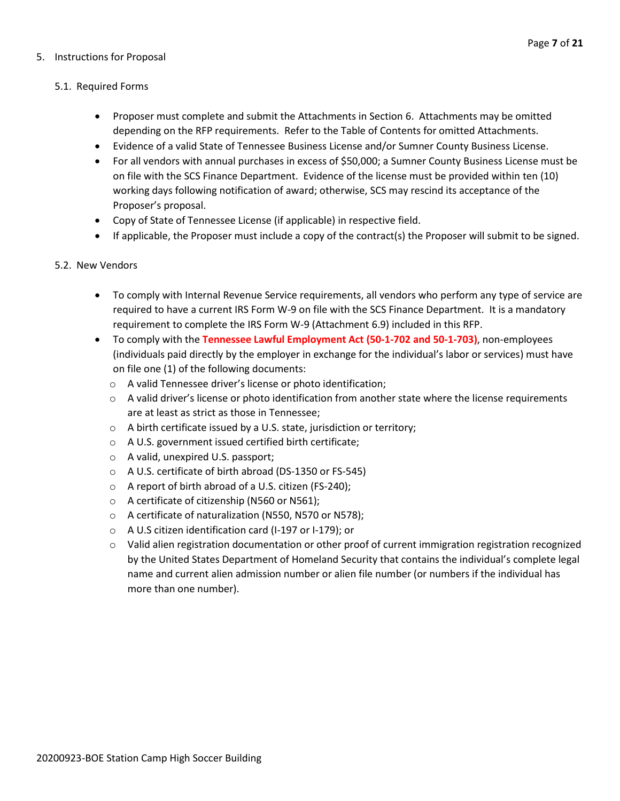#### 5. Instructions for Proposal

#### 5.1. Required Forms

- Proposer must complete and submit the Attachments in Section 6. Attachments may be omitted depending on the RFP requirements. Refer to the Table of Contents for omitted Attachments.
- Evidence of a valid State of Tennessee Business License and/or Sumner County Business License.
- For all vendors with annual purchases in excess of \$50,000; a Sumner County Business License must be on file with the SCS Finance Department. Evidence of the license must be provided within ten (10) working days following notification of award; otherwise, SCS may rescind its acceptance of the Proposer's proposal.
- Copy of State of Tennessee License (if applicable) in respective field.
- If applicable, the Proposer must include a copy of the contract(s) the Proposer will submit to be signed.

#### 5.2. New Vendors

- To comply with Internal Revenue Service requirements, all vendors who perform any type of service are required to have a current IRS Form W-9 on file with the SCS Finance Department. It is a mandatory requirement to complete the IRS Form W-9 (Attachment 6.9) included in this RFP.
- To comply with the **Tennessee Lawful Employment Act (50-1-702 and 50-1-703)**, non-employees (individuals paid directly by the employer in exchange for the individual's labor or services) must have on file one (1) of the following documents:
	- o A valid Tennessee driver's license or photo identification;
	- $\circ$  A valid driver's license or photo identification from another state where the license requirements are at least as strict as those in Tennessee;
	- o A birth certificate issued by a U.S. state, jurisdiction or territory;
	- o A U.S. government issued certified birth certificate;
	- o A valid, unexpired U.S. passport;
	- o A U.S. certificate of birth abroad (DS-1350 or FS-545)
	- o A report of birth abroad of a U.S. citizen (FS-240);
	- o A certificate of citizenship (N560 or N561);
	- o A certificate of naturalization (N550, N570 or N578);
	- o A U.S citizen identification card (I-197 or I-179); or
	- o Valid alien registration documentation or other proof of current immigration registration recognized by the United States Department of Homeland Security that contains the individual's complete legal name and current alien admission number or alien file number (or numbers if the individual has more than one number).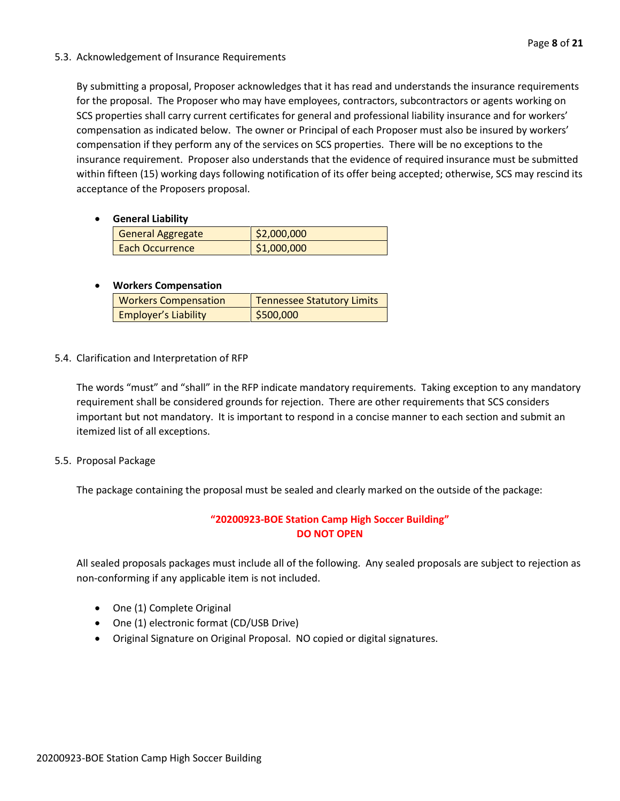#### 5.3. Acknowledgement of Insurance Requirements

By submitting a proposal, Proposer acknowledges that it has read and understands the insurance requirements for the proposal. The Proposer who may have employees, contractors, subcontractors or agents working on SCS properties shall carry current certificates for general and professional liability insurance and for workers' compensation as indicated below. The owner or Principal of each Proposer must also be insured by workers' compensation if they perform any of the services on SCS properties. There will be no exceptions to the insurance requirement. Proposer also understands that the evidence of required insurance must be submitted within fifteen (15) working days following notification of its offer being accepted; otherwise, SCS may rescind its acceptance of the Proposers proposal.

• **General Liability**

| <b>General Aggregate</b> | \$2,000,000 |
|--------------------------|-------------|
| Each Occurrence          | \$1,000,000 |

#### • **Workers Compensation**

| <b>Workers Compensation</b> | Tennessee Statutory Limits |
|-----------------------------|----------------------------|
| <b>Employer's Liability</b> | 5500,000                   |

5.4. Clarification and Interpretation of RFP

The words "must" and "shall" in the RFP indicate mandatory requirements. Taking exception to any mandatory requirement shall be considered grounds for rejection. There are other requirements that SCS considers important but not mandatory. It is important to respond in a concise manner to each section and submit an itemized list of all exceptions.

5.5. Proposal Package

The package containing the proposal must be sealed and clearly marked on the outside of the package:

#### **"20200923-BOE Station Camp High Soccer Building" DO NOT OPEN**

All sealed proposals packages must include all of the following. Any sealed proposals are subject to rejection as non-conforming if any applicable item is not included.

- One (1) Complete Original
- One (1) electronic format (CD/USB Drive)
- Original Signature on Original Proposal. NO copied or digital signatures.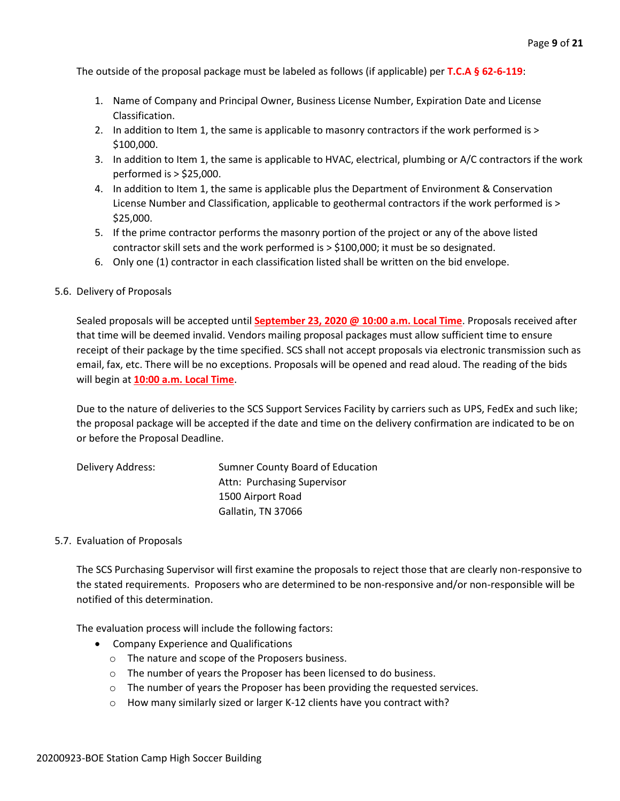The outside of the proposal package must be labeled as follows (if applicable) per **T.C.A § 62-6-119**:

- 1. Name of Company and Principal Owner, Business License Number, Expiration Date and License Classification.
- 2. In addition to Item 1, the same is applicable to masonry contractors if the work performed is > \$100,000.
- 3. In addition to Item 1, the same is applicable to HVAC, electrical, plumbing or A/C contractors if the work performed is > \$25,000.
- 4. In addition to Item 1, the same is applicable plus the Department of Environment & Conservation License Number and Classification, applicable to geothermal contractors if the work performed is > \$25,000.
- 5. If the prime contractor performs the masonry portion of the project or any of the above listed contractor skill sets and the work performed is > \$100,000; it must be so designated.
- 6. Only one (1) contractor in each classification listed shall be written on the bid envelope.

#### 5.6. Delivery of Proposals

Sealed proposals will be accepted until **September 23, 2020 @ 10:00 a.m. Local Time**. Proposals received after that time will be deemed invalid. Vendors mailing proposal packages must allow sufficient time to ensure receipt of their package by the time specified. SCS shall not accept proposals via electronic transmission such as email, fax, etc. There will be no exceptions. Proposals will be opened and read aloud. The reading of the bids will begin at **10:00 a.m. Local Time**.

Due to the nature of deliveries to the SCS Support Services Facility by carriers such as UPS, FedEx and such like; the proposal package will be accepted if the date and time on the delivery confirmation are indicated to be on or before the Proposal Deadline.

| Delivery Address: | Sumner County Board of Education |
|-------------------|----------------------------------|
|                   | Attn: Purchasing Supervisor      |
|                   | 1500 Airport Road                |
|                   | Gallatin, TN 37066               |

#### 5.7. Evaluation of Proposals

The SCS Purchasing Supervisor will first examine the proposals to reject those that are clearly non-responsive to the stated requirements. Proposers who are determined to be non-responsive and/or non-responsible will be notified of this determination.

The evaluation process will include the following factors:

- Company Experience and Qualifications
	- o The nature and scope of the Proposers business.
	- o The number of years the Proposer has been licensed to do business.
	- $\circ$  The number of years the Proposer has been providing the requested services.
	- o How many similarly sized or larger K-12 clients have you contract with?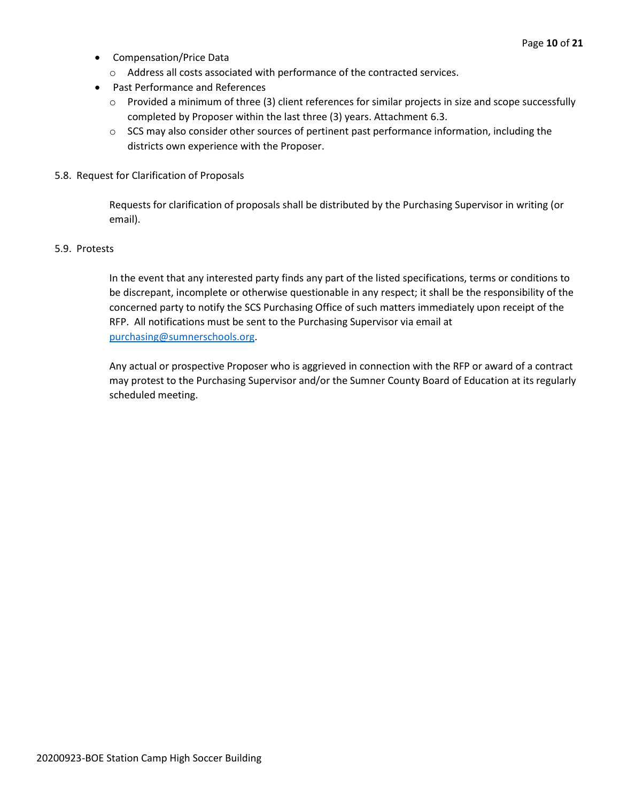- Compensation/Price Data
	- o Address all costs associated with performance of the contracted services.
- Past Performance and References
	- o Provided a minimum of three (3) client references for similar projects in size and scope successfully completed by Proposer within the last three (3) years. Attachment 6.3.
	- $\circ$  SCS may also consider other sources of pertinent past performance information, including the districts own experience with the Proposer.
- 5.8. Request for Clarification of Proposals

Requests for clarification of proposals shall be distributed by the Purchasing Supervisor in writing (or email).

#### 5.9. Protests

In the event that any interested party finds any part of the listed specifications, terms or conditions to be discrepant, incomplete or otherwise questionable in any respect; it shall be the responsibility of the concerned party to notify the SCS Purchasing Office of such matters immediately upon receipt of the RFP. All notifications must be sent to the Purchasing Supervisor via email at [purchasing@sumnerschools.org.](mailto:purchasing@sumnerschools.org)

Any actual or prospective Proposer who is aggrieved in connection with the RFP or award of a contract may protest to the Purchasing Supervisor and/or the Sumner County Board of Education at its regularly scheduled meeting.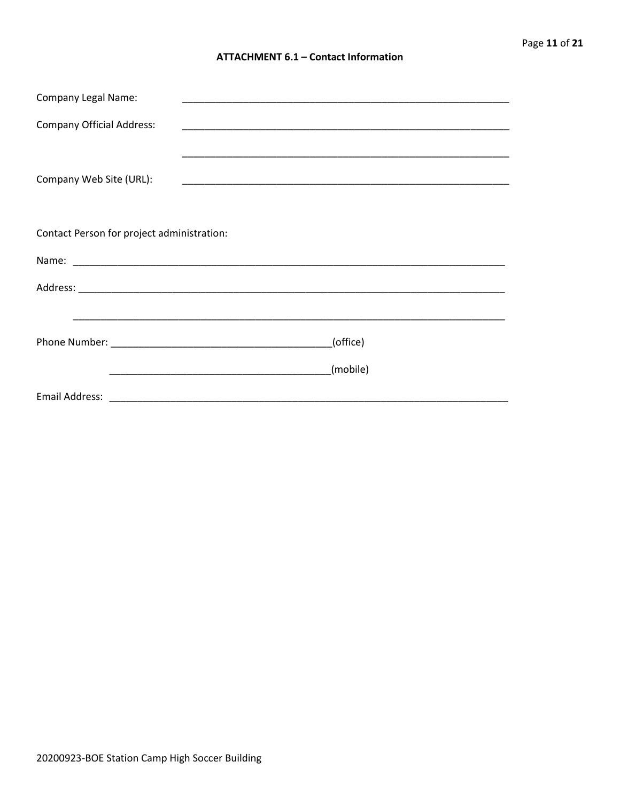#### **ATTACHMENT 6.1 - Contact Information**

| <b>Company Legal Name:</b>                 | <u> 1989 - Andrea Stein, Amerikaansk politiker (* 1908)</u>                                                           |                                                                                                                       |
|--------------------------------------------|-----------------------------------------------------------------------------------------------------------------------|-----------------------------------------------------------------------------------------------------------------------|
| <b>Company Official Address:</b>           | <u> 1989 - Johann John Stoff, deutscher Stoffen und der Stoffen und der Stoffen und der Stoffen und der Stoffen u</u> |                                                                                                                       |
| Company Web Site (URL):                    |                                                                                                                       | <u> 1989 - Johann Stoff, amerikansk politiker (d. 1989)</u>                                                           |
| Contact Person for project administration: |                                                                                                                       |                                                                                                                       |
|                                            |                                                                                                                       |                                                                                                                       |
|                                            |                                                                                                                       |                                                                                                                       |
|                                            |                                                                                                                       | <u> 1989 - Johann Harry Harry Harry Harry Harry Harry Harry Harry Harry Harry Harry Harry Harry Harry Harry Harry</u> |
|                                            |                                                                                                                       | (office)                                                                                                              |
|                                            | <u> 1989 - Johann John Stein, markin fan it ferstjer fan it ferstjer fan it ferstjer fan it ferstjer fan it fers</u>  | (mobile)                                                                                                              |
| Email Address:                             |                                                                                                                       |                                                                                                                       |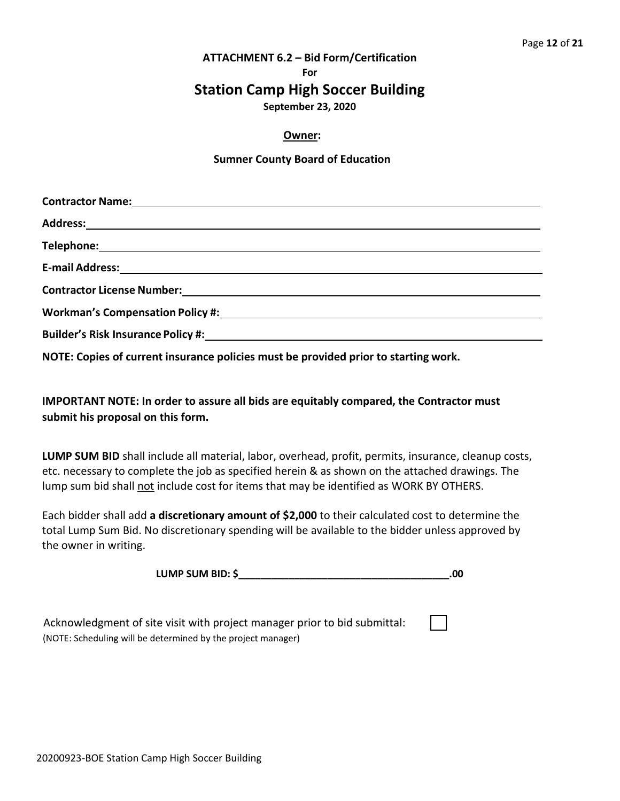#### **ATTACHMENT 6.2 – Bid Form/Certification**

**For**

## **Station Camp High Soccer Building**

**September 23, 2020**

#### **Owner:**

#### **Sumner County Board of Education**

| Builder's Risk Insurance Policy #: \\comes \\comes \\comes \\comes \\comes \\comes \\comes \\comes \\comes \\comes \\comes \\comes \\comes \\comes \\comes \\comes \\comes \\comes \\comes \\comes \\comes \\comes \\comes \\c |
|--------------------------------------------------------------------------------------------------------------------------------------------------------------------------------------------------------------------------------|

**NOTE: Copies of current insurance policies must be provided prior to starting work.**

**IMPORTANT NOTE: In order to assure all bids are equitably compared, the Contractor must submit his proposal on this form.**

**LUMP SUM BID** shall include all material, labor, overhead, profit, permits, insurance, cleanup costs, etc. necessary to complete the job as specified herein & as shown on the attached drawings. The lump sum bid shall not include cost for items that may be identified as WORK BY OTHERS.

Each bidder shall add **a discretionary amount of \$2,000** to their calculated cost to determine the total Lump Sum Bid. No discretionary spending will be available to the bidder unless approved by the owner in writing.

| LUMP SUM BID: \$ |  |
|------------------|--|
|                  |  |

| Acknowledgment of site visit with project manager prior to bid submittal: |
|---------------------------------------------------------------------------|
| (NOTE: Scheduling will be determined by the project manager)              |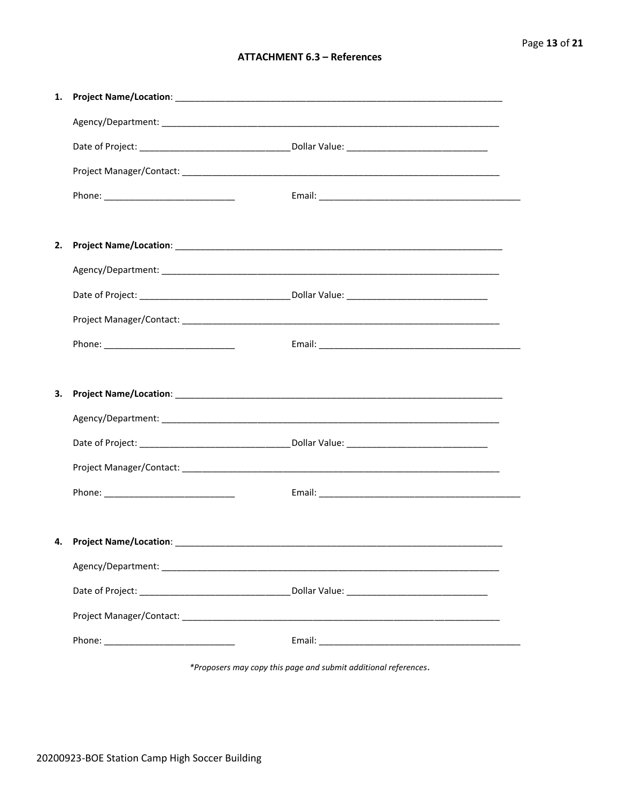#### **ATTACHMENT 6.3 - References**

| 1. |  |
|----|--|
|    |  |
|    |  |
|    |  |
|    |  |
|    |  |
| 2. |  |
|    |  |
|    |  |
|    |  |
|    |  |
|    |  |
| 3. |  |
|    |  |
|    |  |
|    |  |
|    |  |
|    |  |
| 4. |  |
|    |  |
|    |  |
|    |  |
|    |  |
|    |  |

\*Proposers may copy this page and submit additional references.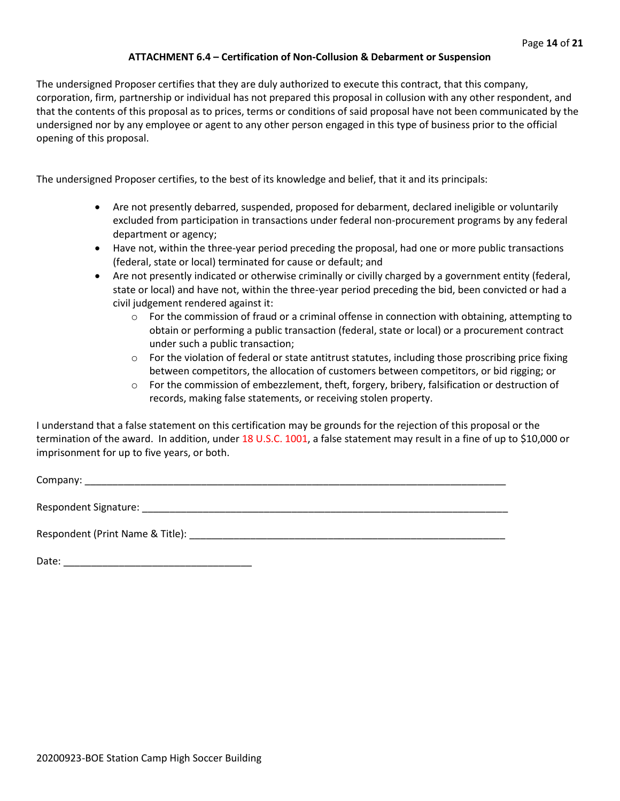#### **ATTACHMENT 6.4 – Certification of Non-Collusion & Debarment or Suspension**

The undersigned Proposer certifies that they are duly authorized to execute this contract, that this company, corporation, firm, partnership or individual has not prepared this proposal in collusion with any other respondent, and that the contents of this proposal as to prices, terms or conditions of said proposal have not been communicated by the undersigned nor by any employee or agent to any other person engaged in this type of business prior to the official opening of this proposal.

The undersigned Proposer certifies, to the best of its knowledge and belief, that it and its principals:

- Are not presently debarred, suspended, proposed for debarment, declared ineligible or voluntarily excluded from participation in transactions under federal non-procurement programs by any federal department or agency;
- Have not, within the three-year period preceding the proposal, had one or more public transactions (federal, state or local) terminated for cause or default; and
- Are not presently indicated or otherwise criminally or civilly charged by a government entity (federal, state or local) and have not, within the three-year period preceding the bid, been convicted or had a civil judgement rendered against it:
	- $\circ$  For the commission of fraud or a criminal offense in connection with obtaining, attempting to obtain or performing a public transaction (federal, state or local) or a procurement contract under such a public transaction;
	- $\circ$  For the violation of federal or state antitrust statutes, including those proscribing price fixing between competitors, the allocation of customers between competitors, or bid rigging; or
	- $\circ$  For the commission of embezzlement, theft, forgery, bribery, falsification or destruction of records, making false statements, or receiving stolen property.

I understand that a false statement on this certification may be grounds for the rejection of this proposal or the termination of the award. In addition, under 18 U.S.C. 1001, a false statement may result in a fine of up to \$10,000 or imprisonment for up to five years, or both.

Company: \_\_\_\_\_\_\_\_\_\_\_\_\_\_\_\_\_\_\_\_\_\_\_\_\_\_\_\_\_\_\_\_\_\_\_\_\_\_\_\_\_\_\_\_\_\_\_\_\_\_\_\_\_\_\_\_\_\_\_\_\_\_\_\_\_\_\_\_\_\_\_\_\_\_\_\_

Respondent Signature: \_\_\_\_\_\_\_\_\_\_\_\_\_\_\_\_\_\_\_\_\_\_\_\_\_\_\_\_\_\_\_\_\_\_\_\_\_\_\_\_\_\_\_\_\_\_\_\_\_\_\_\_\_\_\_\_\_\_\_\_\_\_\_\_\_\_

Respondent (Print Name & Title): \_\_\_\_\_\_\_\_\_\_\_\_\_\_\_\_\_\_\_\_\_\_\_\_\_\_\_\_\_\_\_\_\_\_\_\_\_\_\_\_\_\_\_\_\_\_\_\_\_\_\_\_\_\_\_\_\_

Date: \_\_\_\_\_\_\_\_\_\_\_\_\_\_\_\_\_\_\_\_\_\_\_\_\_\_\_\_\_\_\_\_\_\_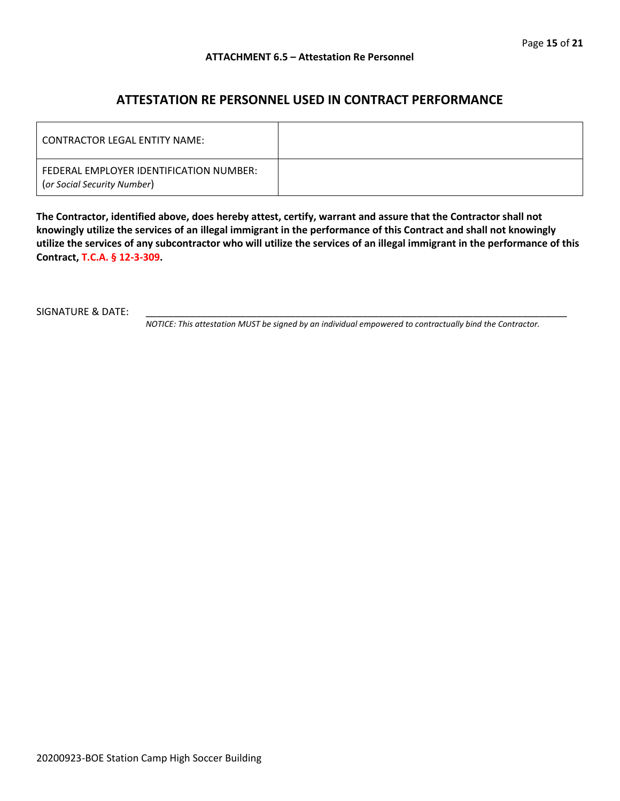#### **ATTESTATION RE PERSONNEL USED IN CONTRACT PERFORMANCE**

| LCONTRACTOR LEGAL ENTITY NAME:                                         |  |
|------------------------------------------------------------------------|--|
| FEDERAL EMPLOYER IDENTIFICATION NUMBER:<br>(or Social Security Number) |  |

**The Contractor, identified above, does hereby attest, certify, warrant and assure that the Contractor shall not knowingly utilize the services of an illegal immigrant in the performance of this Contract and shall not knowingly utilize the services of any subcontractor who will utilize the services of an illegal immigrant in the performance of this Contract, T.C.A. § 12-3-309.**

SIGNATURE & DATE:

*NOTICE: This attestation MUST be signed by an individual empowered to contractually bind the Contractor.*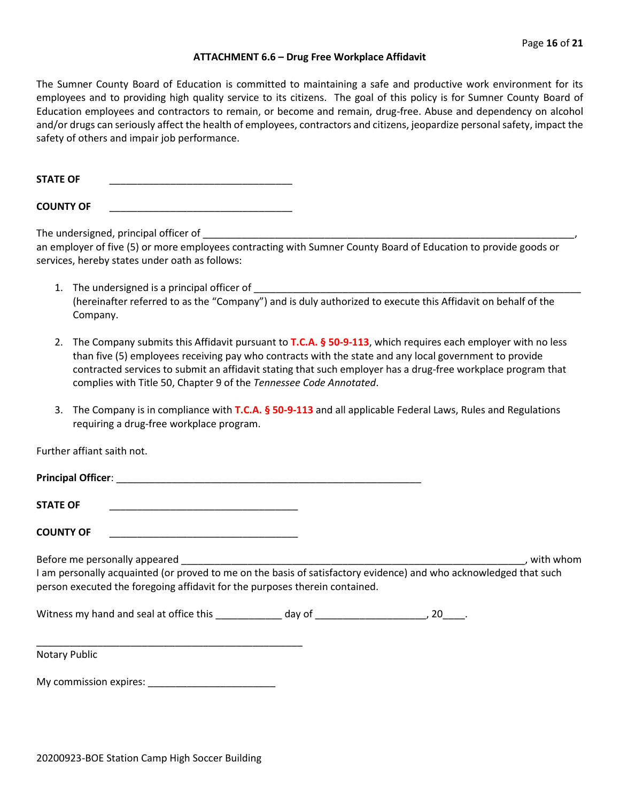#### **ATTACHMENT 6.6 – Drug Free Workplace Affidavit**

The Sumner County Board of Education is committed to maintaining a safe and productive work environment for its employees and to providing high quality service to its citizens. The goal of this policy is for Sumner County Board of Education employees and contractors to remain, or become and remain, drug-free. Abuse and dependency on alcohol and/or drugs can seriously affect the health of employees, contractors and citizens, jeopardize personal safety, impact the safety of others and impair job performance.

**STATE OF** 

**COUNTY OF** \_\_\_\_\_\_\_\_\_\_\_\_\_\_\_\_\_\_\_\_\_\_\_\_\_\_\_\_\_\_\_\_\_

The undersigned, principal officer of \_

an employer of five (5) or more employees contracting with Sumner County Board of Education to provide goods or services, hereby states under oath as follows:

- 1. The undersigned is a principal officer of \_\_\_\_\_\_\_\_\_\_\_\_\_\_\_\_\_\_\_\_\_\_\_\_\_\_\_\_\_\_\_\_\_\_\_\_\_\_\_\_\_\_\_\_\_\_\_\_\_\_\_\_\_\_\_\_\_\_\_ (hereinafter referred to as the "Company") and is duly authorized to execute this Affidavit on behalf of the Company.
- 2. The Company submits this Affidavit pursuant to **T.C.A. § 50-9-113**, which requires each employer with no less than five (5) employees receiving pay who contracts with the state and any local government to provide contracted services to submit an affidavit stating that such employer has a drug-free workplace program that complies with Title 50, Chapter 9 of the *Tennessee Code Annotated*.
- 3. The Company is in compliance with **T.C.A. § 50-9-113** and all applicable Federal Laws, Rules and Regulations requiring a drug-free workplace program.

Further affiant saith not.

| <b>Principal Officer:</b> |  |  |  |
|---------------------------|--|--|--|
|                           |  |  |  |

| <b>STATE OF</b> |
|-----------------|
|                 |

**COUNTY OF** \_\_\_\_\_\_\_\_\_\_\_\_\_\_\_\_\_\_\_\_\_\_\_\_\_\_\_\_\_\_\_\_\_\_

Before me personally appeared **Exercise 2**, with whom

I am personally acquainted (or proved to me on the basis of satisfactory evidence) and who acknowledged that such person executed the foregoing affidavit for the purposes therein contained.

Witness my hand and seal at office this \_\_\_\_\_\_\_\_\_\_\_\_\_ day of \_\_\_\_\_\_\_\_\_\_\_\_\_\_\_\_\_\_\_\_, 20\_\_\_\_.

Notary Public

My commission expires: \_\_\_\_\_\_\_\_\_\_\_\_\_\_\_\_\_\_\_\_\_\_\_

\_\_\_\_\_\_\_\_\_\_\_\_\_\_\_\_\_\_\_\_\_\_\_\_\_\_\_\_\_\_\_\_\_\_\_\_\_\_\_\_\_\_\_\_\_\_\_\_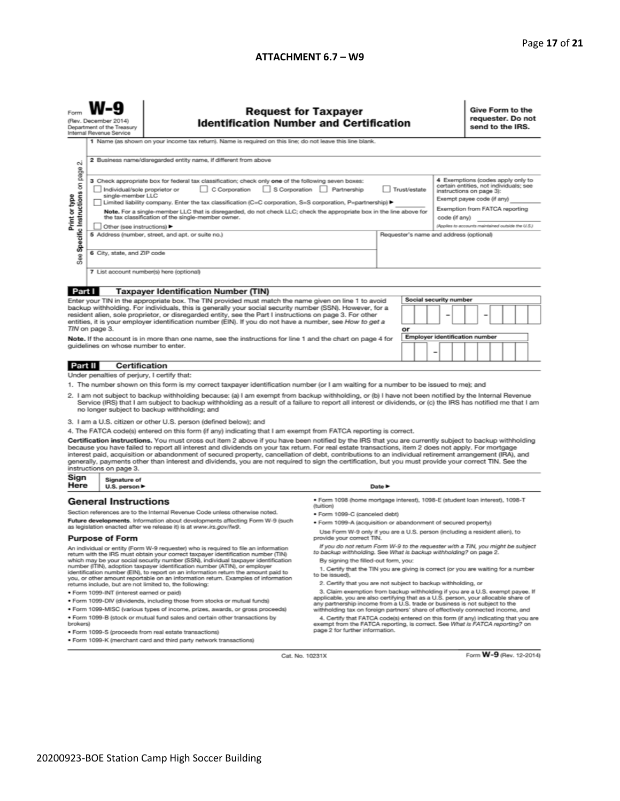#### **ATTACHMENT 6.7 – W9**

| (Rev. December 2014)<br>Department of the Treasury<br>Internal Revenue Service | <b>Request fo</b><br><b>Identification Numb</b>                             |
|--------------------------------------------------------------------------------|-----------------------------------------------------------------------------|
|                                                                                | Name (as shown on your income tax return). Name is required on this line: d |

Form **W-9** 

## for Taxpayer<br>nber and Certification

Give Form to the<br>requester. Do not send to the IRS.

|                                                                                                                                                                                                                                                                                                                                                                     | 1 I Name (as shown on your income tax return). Name is required on this line, do not leave this line blank.                                                                                                                                                                                                                                                                                                                                                                                                                                                                                                                                              |                                                                                                                                                                                                        |                                                   |  |                                                                    |                                       |                                   |  |  |  |  |
|---------------------------------------------------------------------------------------------------------------------------------------------------------------------------------------------------------------------------------------------------------------------------------------------------------------------------------------------------------------------|----------------------------------------------------------------------------------------------------------------------------------------------------------------------------------------------------------------------------------------------------------------------------------------------------------------------------------------------------------------------------------------------------------------------------------------------------------------------------------------------------------------------------------------------------------------------------------------------------------------------------------------------------------|--------------------------------------------------------------------------------------------------------------------------------------------------------------------------------------------------------|---------------------------------------------------|--|--------------------------------------------------------------------|---------------------------------------|-----------------------------------|--|--|--|--|
|                                                                                                                                                                                                                                                                                                                                                                     | 2 Business name/disregarded entity name, if different from above                                                                                                                                                                                                                                                                                                                                                                                                                                                                                                                                                                                         |                                                                                                                                                                                                        |                                                   |  |                                                                    |                                       |                                   |  |  |  |  |
| σû                                                                                                                                                                                                                                                                                                                                                                  |                                                                                                                                                                                                                                                                                                                                                                                                                                                                                                                                                                                                                                                          |                                                                                                                                                                                                        |                                                   |  |                                                                    |                                       |                                   |  |  |  |  |
| page                                                                                                                                                                                                                                                                                                                                                                | 3 Check appropriate box for federal tax classification; check only one of the following seven boxes:                                                                                                                                                                                                                                                                                                                                                                                                                                                                                                                                                     |                                                                                                                                                                                                        |                                                   |  |                                                                    |                                       | 4 Exemptions (codes apply only to |  |  |  |  |
| g                                                                                                                                                                                                                                                                                                                                                                   | $\Box$ C Corporation<br>Individual/sole proprietor or                                                                                                                                                                                                                                                                                                                                                                                                                                                                                                                                                                                                    | S Corporation Partnership                                                                                                                                                                              | Trust/estate                                      |  | certain entities, not individuals; see<br>instructions on page 3): |                                       |                                   |  |  |  |  |
| Specific Instructions                                                                                                                                                                                                                                                                                                                                               | single-member LLC<br>Limited liability company. Enter the tax classification (C=C corporation, S=S corporation, P=partnership) ▶                                                                                                                                                                                                                                                                                                                                                                                                                                                                                                                         |                                                                                                                                                                                                        |                                                   |  |                                                                    | Exempt payee code (if any)            |                                   |  |  |  |  |
| Print or type                                                                                                                                                                                                                                                                                                                                                       | Note. For a single-member LLC that is disregarded, do not check LLC; check the appropriate box in the line above for                                                                                                                                                                                                                                                                                                                                                                                                                                                                                                                                     |                                                                                                                                                                                                        | Exemption from FATCA reporting                    |  |                                                                    |                                       |                                   |  |  |  |  |
|                                                                                                                                                                                                                                                                                                                                                                     | the tax classification of the single-member owner.                                                                                                                                                                                                                                                                                                                                                                                                                                                                                                                                                                                                       |                                                                                                                                                                                                        | code (if any)                                     |  |                                                                    |                                       |                                   |  |  |  |  |
|                                                                                                                                                                                                                                                                                                                                                                     | Other (see instructions)                                                                                                                                                                                                                                                                                                                                                                                                                                                                                                                                                                                                                                 |                                                                                                                                                                                                        | (Applies to accounts maintained outside the U.S.) |  |                                                                    |                                       |                                   |  |  |  |  |
|                                                                                                                                                                                                                                                                                                                                                                     | 5 Address (number, street, and apt. or suite no.)                                                                                                                                                                                                                                                                                                                                                                                                                                                                                                                                                                                                        |                                                                                                                                                                                                        | Requester's name and address (optional)           |  |                                                                    |                                       |                                   |  |  |  |  |
|                                                                                                                                                                                                                                                                                                                                                                     | 6 City, state, and ZIP code                                                                                                                                                                                                                                                                                                                                                                                                                                                                                                                                                                                                                              |                                                                                                                                                                                                        |                                                   |  |                                                                    |                                       |                                   |  |  |  |  |
| <b>See</b>                                                                                                                                                                                                                                                                                                                                                          |                                                                                                                                                                                                                                                                                                                                                                                                                                                                                                                                                                                                                                                          |                                                                                                                                                                                                        |                                                   |  |                                                                    |                                       |                                   |  |  |  |  |
|                                                                                                                                                                                                                                                                                                                                                                     | 7 List account number(s) here (optional)                                                                                                                                                                                                                                                                                                                                                                                                                                                                                                                                                                                                                 |                                                                                                                                                                                                        |                                                   |  |                                                                    |                                       |                                   |  |  |  |  |
|                                                                                                                                                                                                                                                                                                                                                                     |                                                                                                                                                                                                                                                                                                                                                                                                                                                                                                                                                                                                                                                          |                                                                                                                                                                                                        |                                                   |  |                                                                    |                                       |                                   |  |  |  |  |
| Part I                                                                                                                                                                                                                                                                                                                                                              | <b>Taxpayer Identification Number (TIN)</b>                                                                                                                                                                                                                                                                                                                                                                                                                                                                                                                                                                                                              |                                                                                                                                                                                                        |                                                   |  | Social security number                                             |                                       |                                   |  |  |  |  |
|                                                                                                                                                                                                                                                                                                                                                                     | Enter your TIN in the appropriate box. The TIN provided must match the name given on line 1 to avoid<br>backup withholding. For individuals, this is generally your social security number (SSN). However, for a                                                                                                                                                                                                                                                                                                                                                                                                                                         |                                                                                                                                                                                                        |                                                   |  |                                                                    |                                       |                                   |  |  |  |  |
|                                                                                                                                                                                                                                                                                                                                                                     | resident alien, sole proprietor, or disregarded entity, see the Part I instructions on page 3. For other                                                                                                                                                                                                                                                                                                                                                                                                                                                                                                                                                 |                                                                                                                                                                                                        |                                                   |  |                                                                    |                                       |                                   |  |  |  |  |
|                                                                                                                                                                                                                                                                                                                                                                     | entities, it is your employer identification number (EIN). If you do not have a number, see How to get a<br>TIN on page 3.                                                                                                                                                                                                                                                                                                                                                                                                                                                                                                                               |                                                                                                                                                                                                        | or                                                |  |                                                                    |                                       |                                   |  |  |  |  |
|                                                                                                                                                                                                                                                                                                                                                                     | Note. If the account is in more than one name, see the instructions for line 1 and the chart on page 4 for                                                                                                                                                                                                                                                                                                                                                                                                                                                                                                                                               |                                                                                                                                                                                                        |                                                   |  |                                                                    | <b>Employer identification number</b> |                                   |  |  |  |  |
|                                                                                                                                                                                                                                                                                                                                                                     | quidelines on whose number to enter.                                                                                                                                                                                                                                                                                                                                                                                                                                                                                                                                                                                                                     |                                                                                                                                                                                                        |                                                   |  |                                                                    |                                       |                                   |  |  |  |  |
|                                                                                                                                                                                                                                                                                                                                                                     |                                                                                                                                                                                                                                                                                                                                                                                                                                                                                                                                                                                                                                                          |                                                                                                                                                                                                        |                                                   |  |                                                                    |                                       |                                   |  |  |  |  |
| Part II                                                                                                                                                                                                                                                                                                                                                             | Certification                                                                                                                                                                                                                                                                                                                                                                                                                                                                                                                                                                                                                                            |                                                                                                                                                                                                        |                                                   |  |                                                                    |                                       |                                   |  |  |  |  |
|                                                                                                                                                                                                                                                                                                                                                                     | Under penalties of perjury, I certify that:                                                                                                                                                                                                                                                                                                                                                                                                                                                                                                                                                                                                              |                                                                                                                                                                                                        |                                                   |  |                                                                    |                                       |                                   |  |  |  |  |
|                                                                                                                                                                                                                                                                                                                                                                     | 1. The number shown on this form is my correct taxpayer identification number (or I am waiting for a number to be issued to me); and                                                                                                                                                                                                                                                                                                                                                                                                                                                                                                                     |                                                                                                                                                                                                        |                                                   |  |                                                                    |                                       |                                   |  |  |  |  |
| 2. I am not subject to backup withholding because: (a) I am exempt from backup withholding, or (b) I have not been notified by the Internal Revenue<br>Service (IRS) that I am subject to backup withholding as a result of a failure to report all interest or dividends, or (c) the IRS has notified me that I am<br>no longer subject to backup withholding; and |                                                                                                                                                                                                                                                                                                                                                                                                                                                                                                                                                                                                                                                          |                                                                                                                                                                                                        |                                                   |  |                                                                    |                                       |                                   |  |  |  |  |
|                                                                                                                                                                                                                                                                                                                                                                     | 3. I am a U.S. citizen or other U.S. person (defined below); and                                                                                                                                                                                                                                                                                                                                                                                                                                                                                                                                                                                         |                                                                                                                                                                                                        |                                                   |  |                                                                    |                                       |                                   |  |  |  |  |
|                                                                                                                                                                                                                                                                                                                                                                     | 4. The FATCA code(s) entered on this form (if any) indicating that I am exempt from FATCA reporting is correct.                                                                                                                                                                                                                                                                                                                                                                                                                                                                                                                                          |                                                                                                                                                                                                        |                                                   |  |                                                                    |                                       |                                   |  |  |  |  |
|                                                                                                                                                                                                                                                                                                                                                                     | Certification instructions. You must cross out item 2 above if you have been notified by the IRS that you are currently subject to backup withholding<br>because you have failed to report all interest and dividends on your tax return. For real estate transactions, item 2 does not apply. For mortgage<br>interest paid, acquisition or abandonment of secured property, cancellation of debt, contributions to an individual retirement arrangement (IRA), and<br>generally, payments other than interest and dividends, you are not required to sign the certification, but you must provide your correct TIN. See the<br>instructions on page 3. |                                                                                                                                                                                                        |                                                   |  |                                                                    |                                       |                                   |  |  |  |  |
| Sign<br>Here                                                                                                                                                                                                                                                                                                                                                        | Signature of                                                                                                                                                                                                                                                                                                                                                                                                                                                                                                                                                                                                                                             |                                                                                                                                                                                                        | Date P                                            |  |                                                                    |                                       |                                   |  |  |  |  |
|                                                                                                                                                                                                                                                                                                                                                                     | U.S. person $\blacktriangleright$                                                                                                                                                                                                                                                                                                                                                                                                                                                                                                                                                                                                                        |                                                                                                                                                                                                        |                                                   |  |                                                                    |                                       |                                   |  |  |  |  |
|                                                                                                                                                                                                                                                                                                                                                                     | <b>General Instructions</b>                                                                                                                                                                                                                                                                                                                                                                                                                                                                                                                                                                                                                              | · Form 1098 (home mortgage interest), 1098-E (student loan interest), 1098-T<br>(tuition)                                                                                                              |                                                   |  |                                                                    |                                       |                                   |  |  |  |  |
|                                                                                                                                                                                                                                                                                                                                                                     | Section references are to the Internal Revenue Code unless otherwise noted.                                                                                                                                                                                                                                                                                                                                                                                                                                                                                                                                                                              |                                                                                                                                                                                                        | · Form 1099-C (canceled debt)                     |  |                                                                    |                                       |                                   |  |  |  |  |
|                                                                                                                                                                                                                                                                                                                                                                     | Future developments. Information about developments affecting Form W-9 (such<br>as legislation enacted after we release it) is at www.irs.gov/fw9.                                                                                                                                                                                                                                                                                                                                                                                                                                                                                                       | · Form 1099-A (acquisition or abandonment of secured property)                                                                                                                                         |                                                   |  |                                                                    |                                       |                                   |  |  |  |  |
|                                                                                                                                                                                                                                                                                                                                                                     | <b>Purpose of Form</b>                                                                                                                                                                                                                                                                                                                                                                                                                                                                                                                                                                                                                                   | Use Form W-9 only if you are a U.S. person (including a resident alien), to<br>provide your correct TIN.                                                                                               |                                                   |  |                                                                    |                                       |                                   |  |  |  |  |
|                                                                                                                                                                                                                                                                                                                                                                     | An individual or entity (Form W-9 requester) who is required to file an information<br>return with the IRS must obtain your correct taxpayer identification number (TIN)                                                                                                                                                                                                                                                                                                                                                                                                                                                                                 | If you do not return Form W-9 to the requester with a TIN, you might be subject<br>to backup withholding. See What is backup withholding? on page 2.                                                   |                                                   |  |                                                                    |                                       |                                   |  |  |  |  |
|                                                                                                                                                                                                                                                                                                                                                                     | which may be your social security number (SSN), individual taxpayer identification                                                                                                                                                                                                                                                                                                                                                                                                                                                                                                                                                                       | By signing the filled-out form, you:                                                                                                                                                                   |                                                   |  |                                                                    |                                       |                                   |  |  |  |  |
|                                                                                                                                                                                                                                                                                                                                                                     | number (ITIN), adoption taxpayer identification number (ATIN), or employer<br>identification number (EIN), to report on an information return the amount paid to                                                                                                                                                                                                                                                                                                                                                                                                                                                                                         | 1. Certify that the TIN you are giving is correct (or you are waiting for a number<br>to be issued).                                                                                                   |                                                   |  |                                                                    |                                       |                                   |  |  |  |  |
|                                                                                                                                                                                                                                                                                                                                                                     | you, or other amount reportable on an information return. Examples of information<br>returns include, but are not limited to, the following:                                                                                                                                                                                                                                                                                                                                                                                                                                                                                                             | 2. Certify that you are not subject to backup withholding, or                                                                                                                                          |                                                   |  |                                                                    |                                       |                                   |  |  |  |  |
|                                                                                                                                                                                                                                                                                                                                                                     | · Form 1099-INT (interest earned or paid)                                                                                                                                                                                                                                                                                                                                                                                                                                                                                                                                                                                                                | 3. Claim exemption from backup withholding if you are a U.S. exempt payee. If                                                                                                                          |                                                   |  |                                                                    |                                       |                                   |  |  |  |  |
|                                                                                                                                                                                                                                                                                                                                                                     | . Form 1099-DIV (dividends, including those from stocks or mutual funds)                                                                                                                                                                                                                                                                                                                                                                                                                                                                                                                                                                                 | applicable, you are also certifying that as a U.S. person, your allocable share of                                                                                                                     |                                                   |  |                                                                    |                                       |                                   |  |  |  |  |
|                                                                                                                                                                                                                                                                                                                                                                     | · Form 1099-MISC (various types of income, prizes, awards, or gross proceeds)                                                                                                                                                                                                                                                                                                                                                                                                                                                                                                                                                                            | any partnership income from a U.S. trade or business is not subject to the<br>withholding tax on foreign partners' share of effectively connected income, and                                          |                                                   |  |                                                                    |                                       |                                   |  |  |  |  |
| brokers)                                                                                                                                                                                                                                                                                                                                                            | . Form 1099-B (stock or mutual fund sales and certain other transactions by                                                                                                                                                                                                                                                                                                                                                                                                                                                                                                                                                                              | 4. Certify that FATCA code(s) entered on this form (if any) indicating that you are<br>exempt from the FATCA reporting, is correct. See What is FATCA reporting? on<br>page 2 for further information. |                                                   |  |                                                                    |                                       |                                   |  |  |  |  |
|                                                                                                                                                                                                                                                                                                                                                                     | · Form 1099-S (proceeds from real estate transactions)<br>· Form 1099-K (merchant card and third party network transactions)                                                                                                                                                                                                                                                                                                                                                                                                                                                                                                                             |                                                                                                                                                                                                        |                                                   |  |                                                                    |                                       |                                   |  |  |  |  |
|                                                                                                                                                                                                                                                                                                                                                                     |                                                                                                                                                                                                                                                                                                                                                                                                                                                                                                                                                                                                                                                          |                                                                                                                                                                                                        |                                                   |  |                                                                    |                                       |                                   |  |  |  |  |

Cat. No. 10231X

Form W-9 (Rev. 12-2014)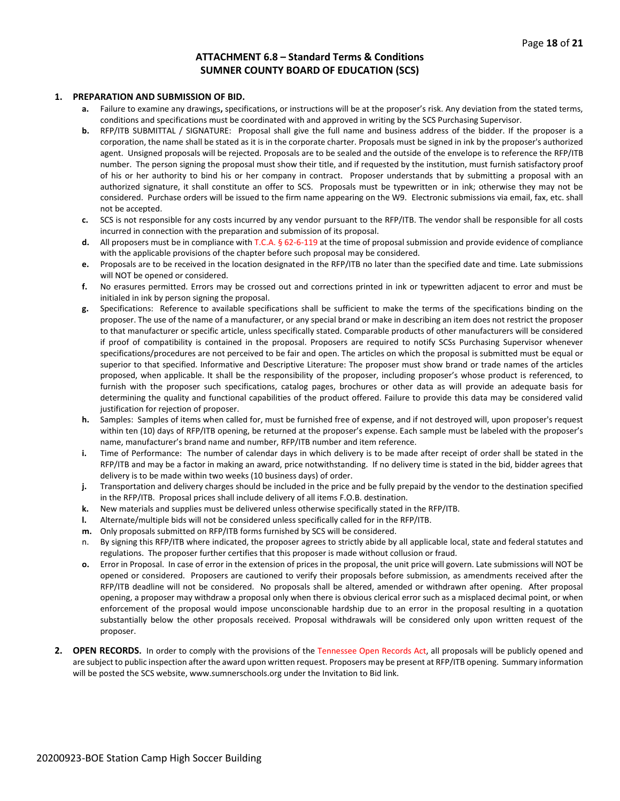#### **ATTACHMENT 6.8 – Standard Terms & Conditions SUMNER COUNTY BOARD OF EDUCATION (SCS)**

#### **1. PREPARATION AND SUBMISSION OF BID.**

- **a.** Failure to examine any drawings**,** specifications, or instructions will be at the proposer's risk. Any deviation from the stated terms, conditions and specifications must be coordinated with and approved in writing by the SCS Purchasing Supervisor.
- **b.** RFP/ITB SUBMITTAL / SIGNATURE: Proposal shall give the full name and business address of the bidder. If the proposer is a corporation, the name shall be stated as it is in the corporate charter. Proposals must be signed in ink by the proposer's authorized agent. Unsigned proposals will be rejected. Proposals are to be sealed and the outside of the envelope is to reference the RFP/ITB number. The person signing the proposal must show their title, and if requested by the institution, must furnish satisfactory proof of his or her authority to bind his or her company in contract. Proposer understands that by submitting a proposal with an authorized signature, it shall constitute an offer to SCS. Proposals must be typewritten or in ink; otherwise they may not be considered. Purchase orders will be issued to the firm name appearing on the W9. Electronic submissions via email, fax, etc. shall not be accepted.
- **c.** SCS is not responsible for any costs incurred by any vendor pursuant to the RFP/ITB. The vendor shall be responsible for all costs incurred in connection with the preparation and submission of its proposal.
- **d.** All proposers must be in compliance with T.C.A. § 62-6-119 at the time of proposal submission and provide evidence of compliance with the applicable provisions of the chapter before such proposal may be considered.
- **e.** Proposals are to be received in the location designated in the RFP/ITB no later than the specified date and time. Late submissions will NOT be opened or considered.
- **f.** No erasures permitted. Errors may be crossed out and corrections printed in ink or typewritten adjacent to error and must be initialed in ink by person signing the proposal.
- **g.** Specifications: Reference to available specifications shall be sufficient to make the terms of the specifications binding on the proposer. The use of the name of a manufacturer, or any special brand or make in describing an item does not restrict the proposer to that manufacturer or specific article, unless specifically stated. Comparable products of other manufacturers will be considered if proof of compatibility is contained in the proposal. Proposers are required to notify SCSs Purchasing Supervisor whenever specifications/procedures are not perceived to be fair and open. The articles on which the proposal is submitted must be equal or superior to that specified. Informative and Descriptive Literature: The proposer must show brand or trade names of the articles proposed, when applicable. It shall be the responsibility of the proposer, including proposer's whose product is referenced, to furnish with the proposer such specifications, catalog pages, brochures or other data as will provide an adequate basis for determining the quality and functional capabilities of the product offered. Failure to provide this data may be considered valid justification for rejection of proposer.
- **h.** Samples: Samples of items when called for, must be furnished free of expense, and if not destroyed will, upon proposer's request within ten (10) days of RFP/ITB opening, be returned at the proposer's expense. Each sample must be labeled with the proposer's name, manufacturer's brand name and number, RFP/ITB number and item reference.
- **i.** Time of Performance: The number of calendar days in which delivery is to be made after receipt of order shall be stated in the RFP/ITB and may be a factor in making an award, price notwithstanding. If no delivery time is stated in the bid, bidder agrees that delivery is to be made within two weeks (10 business days) of order.
- **j.** Transportation and delivery charges should be included in the price and be fully prepaid by the vendor to the destination specified in the RFP/ITB. Proposal prices shall include delivery of all items F.O.B. destination.
- **k.** New materials and supplies must be delivered unless otherwise specifically stated in the RFP/ITB.
- **l.** Alternate/multiple bids will not be considered unless specifically called for in the RFP/ITB.
- **m.** Only proposals submitted on RFP/ITB forms furnished by SCS will be considered.
- n. By signing this RFP/ITB where indicated, the proposer agrees to strictly abide by all applicable local, state and federal statutes and regulations. The proposer further certifies that this proposer is made without collusion or fraud.
- **o.** Error in Proposal. In case of error in the extension of prices in the proposal, the unit price will govern. Late submissions will NOT be opened or considered. Proposers are cautioned to verify their proposals before submission, as amendments received after the RFP/ITB deadline will not be considered. No proposals shall be altered, amended or withdrawn after opening. After proposal opening, a proposer may withdraw a proposal only when there is obvious clerical error such as a misplaced decimal point, or when enforcement of the proposal would impose unconscionable hardship due to an error in the proposal resulting in a quotation substantially below the other proposals received. Proposal withdrawals will be considered only upon written request of the proposer.
- **2. OPEN RECORDS.** In order to comply with the provisions of the Tennessee Open Records Act, all proposals will be publicly opened and are subject to public inspection after the award upon written request. Proposers may be present at RFP/ITB opening. Summary information will be posted the SCS website, www.sumnerschools.org under the Invitation to Bid link.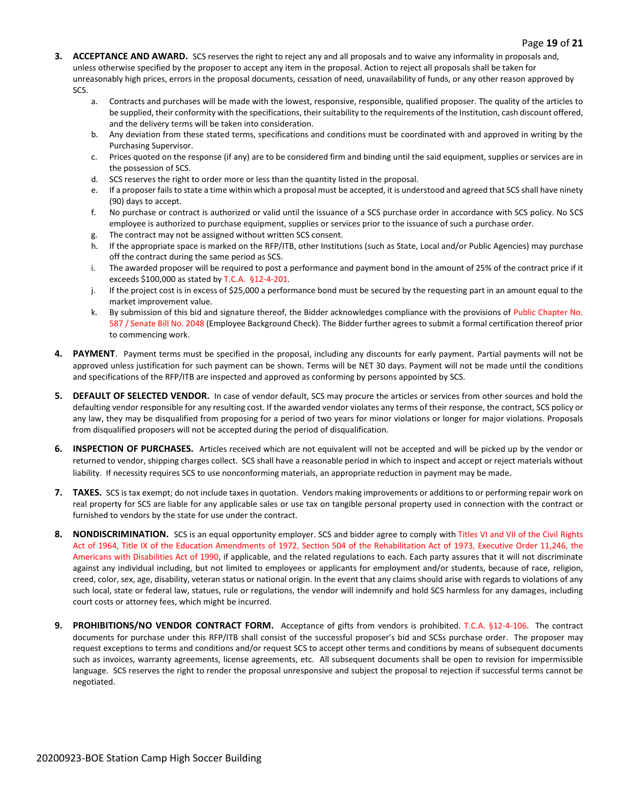- **3. ACCEPTANCE AND AWARD.** SCS reserves the right to reject any and all proposals and to waive any informality in proposals and, unless otherwise specified by the proposer to accept any item in the proposal. Action to reject all proposals shall be taken for unreasonably high prices, errors in the proposal documents, cessation of need, unavailability of funds, or any other reason approved by SCS.
	- a. Contracts and purchases will be made with the lowest, responsive, responsible, qualified proposer. The quality of the articles to be supplied, their conformity with the specifications, their suitability to the requirements of the Institution, cash discount offered, and the delivery terms will be taken into consideration.
	- b. Any deviation from these stated terms, specifications and conditions must be coordinated with and approved in writing by the Purchasing Supervisor.
	- c. Prices quoted on the response (if any) are to be considered firm and binding until the said equipment, supplies or services are in the possession of SCS.
	- d. SCS reserves the right to order more or less than the quantity listed in the proposal.
	- e. If a proposer fails to state a time within which a proposal must be accepted, it is understood and agreed that SCS shall have ninety (90) days to accept.
	- f. No purchase or contract is authorized or valid until the issuance of a SCS purchase order in accordance with SCS policy. No SCS employee is authorized to purchase equipment, supplies or services prior to the issuance of such a purchase order.
	- g. The contract may not be assigned without written SCS consent.
	- h. If the appropriate space is marked on the RFP/ITB, other Institutions (such as State, Local and/or Public Agencies) may purchase off the contract during the same period as SCS.
	- i. The awarded proposer will be required to post a performance and payment bond in the amount of 25% of the contract price if it exceeds \$100,000 as stated by T.C.A. §12-4-201.
	- j. If the project cost is in excess of \$25,000 a performance bond must be secured by the requesting part in an amount equal to the market improvement value.
	- k. By submission of this bid and signature thereof, the Bidder acknowledges compliance with the provisions of Public Chapter No. 587 / Senate Bill No. 2048 (Employee Background Check). The Bidder further agrees to submit a formal certification thereof prior to commencing work.
- **4. PAYMENT**. Payment terms must be specified in the proposal, including any discounts for early payment. Partial payments will not be approved unless justification for such payment can be shown. Terms will be NET 30 days. Payment will not be made until the conditions and specifications of the RFP/ITB are inspected and approved as conforming by persons appointed by SCS.
- **5. DEFAULT OF SELECTED VENDOR.** In case of vendor default, SCS may procure the articles or services from other sources and hold the defaulting vendor responsible for any resulting cost. If the awarded vendor violates any terms of their response, the contract, SCS policy or any law, they may be disqualified from proposing for a period of two years for minor violations or longer for major violations. Proposals from disqualified proposers will not be accepted during the period of disqualification.
- **6. INSPECTION OF PURCHASES.** Articles received which are not equivalent will not be accepted and will be picked up by the vendor or returned to vendor, shipping charges collect. SCS shall have a reasonable period in which to inspect and accept or reject materials without liability. If necessity requires SCS to use nonconforming materials, an appropriate reduction in payment may be made.
- **7. TAXES.** SCS is tax exempt; do not include taxes in quotation. Vendors making improvements or additions to or performing repair work on real property for SCS are liable for any applicable sales or use tax on tangible personal property used in connection with the contract or furnished to vendors by the state for use under the contract.
- 8. NONDISCRIMINATION. SCS is an equal opportunity employer. SCS and bidder agree to comply with Titles VI and VII of the Civil Rights Act of 1964, Title IX of the Education Amendments of 1972, Section 504 of the Rehabilitation Act of 1973, Executive Order 11,246, the Americans with Disabilities Act of 1990, if applicable, and the related regulations to each. Each party assures that it will not discriminate against any individual including, but not limited to employees or applicants for employment and/or students, because of race, religion, creed, color, sex, age, disability, veteran status or national origin. In the event that any claims should arise with regards to violations of any such local, state or federal law, statues, rule or regulations, the vendor will indemnify and hold SCS harmless for any damages, including court costs or attorney fees, which might be incurred.
- **9. PROHIBITIONS/NO VENDOR CONTRACT FORM.** Acceptance of gifts from vendors is prohibited. T.C.A. §12-4-106. The contract documents for purchase under this RFP/ITB shall consist of the successful proposer's bid and SCSs purchase order. The proposer may request exceptions to terms and conditions and/or request SCS to accept other terms and conditions by means of subsequent documents such as invoices, warranty agreements, license agreements, etc. All subsequent documents shall be open to revision for impermissible language. SCS reserves the right to render the proposal unresponsive and subject the proposal to rejection if successful terms cannot be negotiated.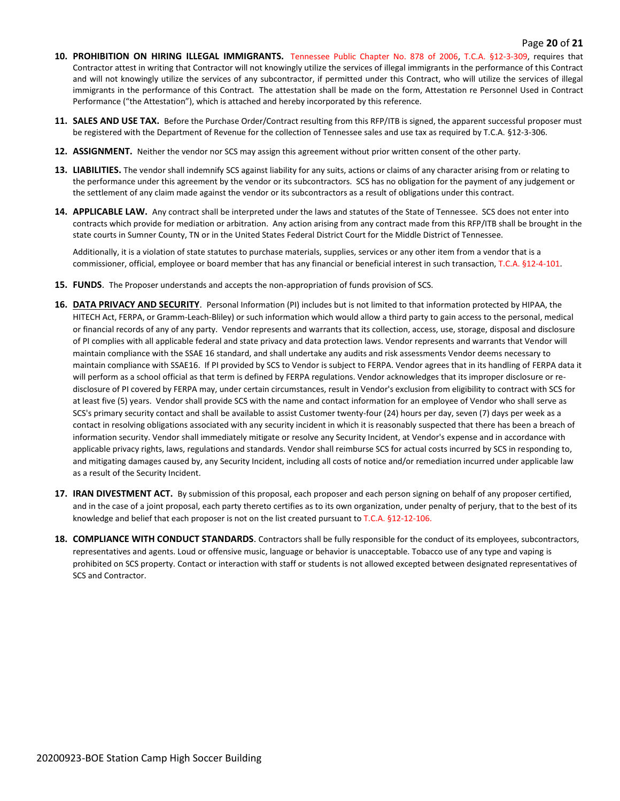#### Page **20** of **21**

- **10. PROHIBITION ON HIRING ILLEGAL IMMIGRANTS.** Tennessee Public Chapter No. 878 of 2006, T.C.A. §12-3-309, requires that Contractor attest in writing that Contractor will not knowingly utilize the services of illegal immigrants in the performance of this Contract and will not knowingly utilize the services of any subcontractor, if permitted under this Contract, who will utilize the services of illegal immigrants in the performance of this Contract. The attestation shall be made on the form, Attestation re Personnel Used in Contract Performance ("the Attestation"), which is attached and hereby incorporated by this reference.
- **11. SALES AND USE TAX.** Before the Purchase Order/Contract resulting from this RFP/ITB is signed, the apparent successful proposer must be registered with the Department of Revenue for the collection of Tennessee sales and use tax as required by T.C.A. §12-3-306.
- **12. ASSIGNMENT.** Neither the vendor nor SCS may assign this agreement without prior written consent of the other party.
- **13. LIABILITIES.** The vendor shall indemnify SCS against liability for any suits, actions or claims of any character arising from or relating to the performance under this agreement by the vendor or its subcontractors. SCS has no obligation for the payment of any judgement or the settlement of any claim made against the vendor or its subcontractors as a result of obligations under this contract.
- **14. APPLICABLE LAW.** Any contract shall be interpreted under the laws and statutes of the State of Tennessee. SCS does not enter into contracts which provide for mediation or arbitration. Any action arising from any contract made from this RFP/ITB shall be brought in the state courts in Sumner County, TN or in the United States Federal District Court for the Middle District of Tennessee.

Additionally, it is a violation of state statutes to purchase materials, supplies, services or any other item from a vendor that is a commissioner, official, employee or board member that has any financial or beneficial interest in such transaction, T.C.A. §12-4-101.

- **15. FUNDS**. The Proposer understands and accepts the non-appropriation of funds provision of SCS.
- **16. DATA PRIVACY AND SECURITY**. Personal Information (PI) includes but is not limited to that information protected by HIPAA, the HITECH Act, FERPA, or Gramm-Leach-Bliley) or such information which would allow a third party to gain access to the personal, medical or financial records of any of any party. Vendor represents and warrants that its collection, access, use, storage, disposal and disclosure of PI complies with all applicable federal and state privacy and data protection laws. Vendor represents and warrants that Vendor will maintain compliance with the SSAE 16 standard, and shall undertake any audits and risk assessments Vendor deems necessary to maintain compliance with SSAE16. If PI provided by SCS to Vendor is subject to FERPA. Vendor agrees that in its handling of FERPA data it will perform as a school official as that term is defined by FERPA regulations. Vendor acknowledges that its improper disclosure or redisclosure of PI covered by FERPA may, under certain circumstances, result in Vendor's exclusion from eligibility to contract with SCS for at least five (5) years. Vendor shall provide SCS with the name and contact information for an employee of Vendor who shall serve as SCS's primary security contact and shall be available to assist Customer twenty-four (24) hours per day, seven (7) days per week as a contact in resolving obligations associated with any security incident in which it is reasonably suspected that there has been a breach of information security. Vendor shall immediately mitigate or resolve any Security Incident, at Vendor's expense and in accordance with applicable privacy rights, laws, regulations and standards. Vendor shall reimburse SCS for actual costs incurred by SCS in responding to, and mitigating damages caused by, any Security Incident, including all costs of notice and/or remediation incurred under applicable law as a result of the Security Incident.
- **17. IRAN DIVESTMENT ACT.** By submission of this proposal, each proposer and each person signing on behalf of any proposer certified, and in the case of a joint proposal, each party thereto certifies as to its own organization, under penalty of perjury, that to the best of its knowledge and belief that each proposer is not on the list created pursuant to T.C.A. §12-12-106.
- **18. COMPLIANCE WITH CONDUCT STANDARDS**. Contractors shall be fully responsible for the conduct of its employees, subcontractors, representatives and agents. Loud or offensive music, language or behavior is unacceptable. Tobacco use of any type and vaping is prohibited on SCS property. Contact or interaction with staff or students is not allowed excepted between designated representatives of SCS and Contractor.